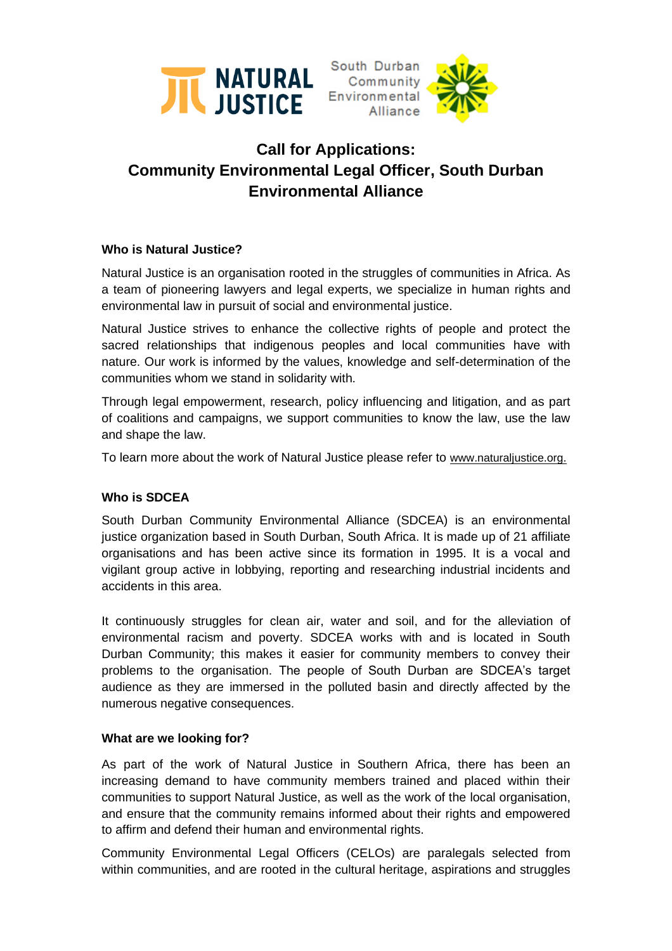



# **Call for Applications: Community Environmental Legal Officer, South Durban Environmental Alliance**

### **Who is Natural Justice?**

Natural Justice is an organisation rooted in the struggles of communities in Africa. As a team of pioneering lawyers and legal experts, we specialize in human rights and environmental law in pursuit of social and environmental justice.

Natural Justice strives to enhance the collective rights of people and protect the sacred relationships that indigenous peoples and local communities have with nature. Our work is informed by the values, knowledge and self-determination of the communities whom we stand in solidarity with.

Through legal empowerment, research, policy influencing and litigation, and as part of coalitions and campaigns, we support communities to know the law, use the law and shape the law.

To learn more about the work of Natural Justice please refer to [www.naturaljustice.org.](http://www.naturaljustice.org/)

# **Who is SDCEA**

South Durban Community Environmental Alliance (SDCEA) is an environmental justice organization based in South Durban, South Africa. It is made up of 21 affiliate organisations and has been active since its formation in 1995. It is a vocal and vigilant group active in lobbying, reporting and researching industrial incidents and accidents in this area.

It continuously struggles for clean air, water and soil, and for the alleviation of environmental racism and poverty. SDCEA works with and is located in South Durban Community; this makes it easier for community members to convey their problems to the organisation. The people of South Durban are SDCEA's target audience as they are immersed in the polluted basin and directly affected by the numerous negative consequences.

### **What are we looking for?**

As part of the work of Natural Justice in Southern Africa, there has been an increasing demand to have community members trained and placed within their communities to support Natural Justice, as well as the work of the local organisation, and ensure that the community remains informed about their rights and empowered to affirm and defend their human and environmental rights.

Community Environmental Legal Officers (CELOs) are paralegals selected from within communities, and are rooted in the cultural heritage, aspirations and struggles